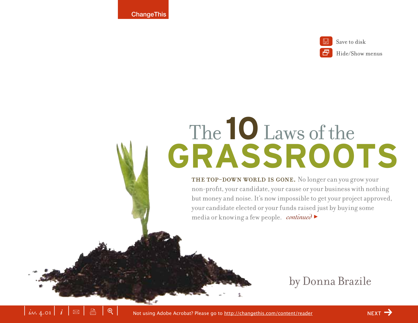**ChangeThis** 



Save to disk

Hide/Show menus

# **GRASSROOTS** The **10**Laws of the

THE TOP-DOWN WORLD IS GONE. No longer can you grow your non-profit, your candidate, your cause or your business with nothing but money and noise. It's now impossible to get your project approved, your candidate elected or your funds raised just by buying some media or knowing a few people. *continued* >

by Donna Brazile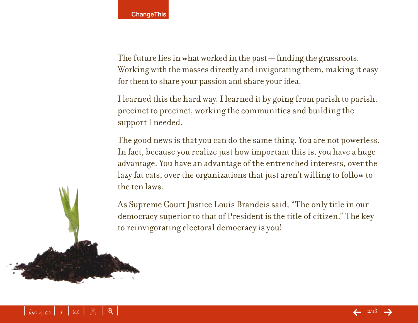The future lies in what worked in the past — finding the grassroots. Working with the masses directly and invigorating them, making it easy for them to share your passion and share your idea.

I learned this the hard way. I learned it by going from parish to parish, precinct to precinct, working the communities and building the support I needed.

The good news is that you can do the same thing. You are not powerless. In fact, because you realize just how important this is, you have a huge advantage. You have an advantage of the entrenched interests, over the lazy fat cats, over the organizations that just aren't willing to follow to the ten laws.

As Supreme Court Justice Louis Brandeis said, "The only title in our democracy superior to that of President is the title of citizen." The key to reinvigorating electoral democracy is you!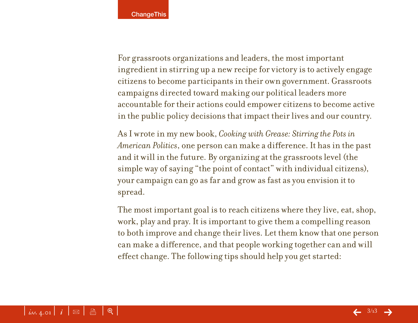For grassroots organizations and leaders, the most important ingredient in stirring up a new recipe for victory is to actively engage citizens to become participants in their own government. Grassroots campaigns directed toward making our political leaders more accountable for their actions could empower citizens to become active in the public policy decisions that impact their lives and our country.

As I wrote in my new book, *Cooking with Grease: Stirring the Pots in American Politics*, one person can make a difference. It has in the past and it will in the future. By organizing at the grassroots level (the simple way of saying "the point of contact" with individual citizens), your campaign can go as far and grow as fast as you envision it to spread.

The most important goal is to reach citizens where they live, eat, shop, work, play and pray. It is important to give them a compelling reason to both improve and change their lives. Let them know that one person can make a difference, and that people working together can and will effect change. The following tips should help you get started: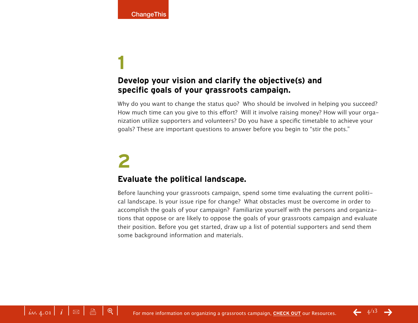### **Develop your vision and clarify the objective(s) and specific goals of your grassroots campaign.**

Why do you want to change the status quo? Who should be involved in helping you succeed? How much time can you give to this effort? Will it involve raising money? How will your organization utilize supporters and volunteers? Do you have a specific timetable to achieve your goals? These are important questions to answer before you begin to "stir the pots."

## **2**

### **Evaluate the political landscape.**

Before launching your grassroots campaign, spend some time evaluating the current political landscape. Is your issue ripe for change? What obstacles must be overcome in order to accomplish the goals of your campaign? Familiarize yourself with the persons and organizations that oppose or are likely to oppose the goals of your grassroots campaign and evaluate their position. Before you get started, draw up a list of potential supporters and send them some background information and materials.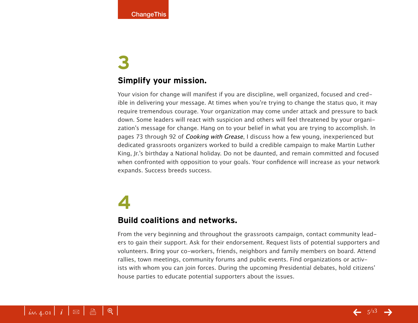### **Simplify your mission.**

Your vision for change will manifest if you are discipline, well organized, focused and credible in delivering your message. At times when you're trying to change the status quo, it may require tremendous courage. Your organization may come under attack and pressure to back down. Some leaders will react with suspicion and others will feel threatened by your organization's message for change. Hang on to your belief in what you are trying to accomplish. In pages 73 through 92 of Cooking with Grease, I discuss how a few young, inexperienced but dedicated grassroots organizers worked to build a credible campaign to make Martin Luther King, Jr.'s birthday a National holiday. Do not be daunted, and remain committed and focused when confronted with opposition to your goals. Your confidence will increase as your network expands. Success breeds success.

## **4**

### **Build coalitions and networks.**

From the very beginning and throughout the grassroots campaign, contact community leaders to gain their support. Ask for their endorsement. Request lists of potential supporters and volunteers. Bring your co-workers, friends, neighbors and family members on board. Attend rallies, town meetings, community forums and public events. Find organizations or activists with whom you can join forces. During the upcoming Presidential debates, hold citizens' house parties to educate potential supporters about the issues.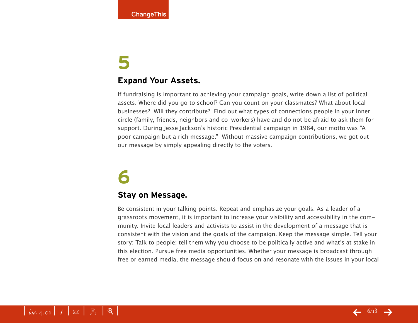### **Expand Your Assets.**

If fundraising is important to achieving your campaign goals, write down a list of political assets. Where did you go to school? Can you count on your classmates? What about local businesses? Will they contribute? Find out what types of connections people in your inner circle (family, friends, neighbors and co-workers) have and do not be afraid to ask them for support. During Jesse Jackson's historic Presidential campaign in 1984, our motto was "A poor campaign but a rich message." Without massive campaign contributions, we got out our message by simply appealing directly to the voters.

## **6**

### **Stay on Message.**

Be consistent in your talking points. Repeat and emphasize your goals. As a leader of a grassroots movement, it is important to increase your visibility and accessibility in the community. Invite local leaders and activists to assist in the development of a message that is consistent with the vision and the goals of the campaign. Keep the message simple. Tell your story: Talk to people; tell them why you choose to be politically active and what's at stake in this election. Pursue free media opportunities. Whether your message is broadcast through free or earned media, the message should focus on and resonate with the issues in your local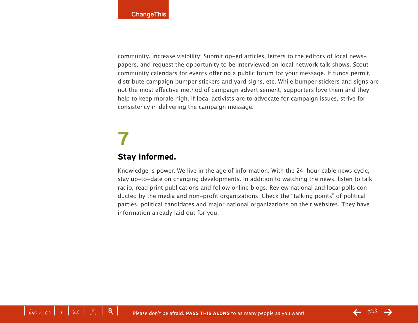community. Increase visibility: Submit op-ed articles, letters to the editors of local newspapers, and request the opportunity to be interviewed on local network talk shows. Scout community calendars for events offering a public forum for your message. If funds permit, distribute campaign bumper stickers and yard signs, etc. While bumper stickers and signs are not the most effective method of campaign advertisement, supporters love them and they help to keep morale high. If local activists are to advocate for campaign issues, strive for consistency in delivering the campaign message.

## **7 Stay informed.**

Knowledge is power. We live in the age of information. With the 24-hour cable news cycle, stay up-to-date on changing developments. In addition to watching the news, listen to talk radio, read print publications and follow online blogs. Review national and local polls conducted by the media and non-profit organizations. Check the "talking points" of political parties, political candidates and major national organizations on their websites. They have information already laid out for you.

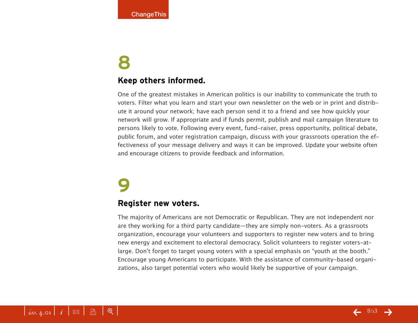### **Keep others informed.**

One of the greatest mistakes in American politics is our inability to communicate the truth to voters. Filter what you learn and start your own newsletter on the web or in print and distribute it around your network; have each person send it to a friend and see how quickly your network will grow. If appropriate and if funds permit, publish and mail campaign literature to persons likely to vote. Following every event, fund-raiser, press opportunity, political debate, public forum, and voter registration campaign, discuss with your grassroots operation the effectiveness of your message delivery and ways it can be improved. Update your website often and encourage citizens to provide feedback and information.

## **9**

### **Register new voters.**

The majority of Americans are not Democratic or Republican. They are not independent nor are they working for a third party candidate—they are simply non-voters. As a grassroots organization, encourage your volunteers and supporters to register new voters and to bring new energy and excitement to electoral democracy. Solicit volunteers to register voters-atlarge. Don't forget to target young voters with a special emphasis on "youth at the booth." Encourage young Americans to participate. With the assistance of community-based organizations, also target potential voters who would likely be supportive of your campaign.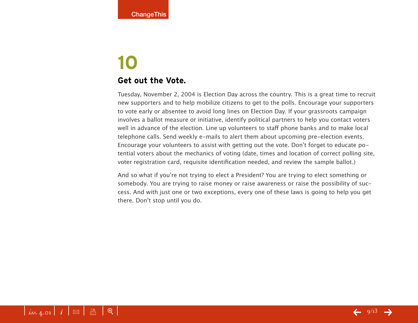### **Get out the Vote.**

Tuesday, November 2, 2004 is Election Day across the country. This is a great time to recruit new supporters and to help mobilize citizens to get to the polls. Encourage your supporters to vote early or absentee to avoid long lines on Election Day. If your grassroots campaign involves a ballot measure or initiative, identify political partners to help you contact voters well in advance of the election. Line up volunteers to staff phone banks and to make local telephone calls. Send weekly e-mails to alert them about upcoming pre-election events. Encourage your volunteers to assist with getting out the vote. Don't forget to educate potential voters about the mechanics of voting (date, times and location of correct polling site, voter registration card, requisite identification needed, and review the sample ballot.)

And so what if you're not trying to elect a President? You are trying to elect something or somebody. You are trying to raise money or raise awareness or raise the possibility of success. And with just one or two exceptions, every one of these laws is going to help you get there. Don't stop until you do.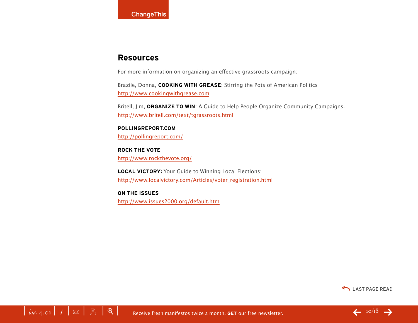### **Resources**

For more information on organizing an effective grassroots campaign:

Brazile, Donna, **COOKING WITH GREASE**: Stirring the Pots of American Politics <http://www.cookingwithgrease.com>

Britell, Jim, **ORGANIZE TO WIN**: A Guide to Help People Organize Community Campaigns. <http://www.britell.com/text/tgrassroots.html>

#### **POLLINGREPORT.COM**

<http://pollingreport.com/>

**ROCK THE VOTE** <http://www.rockthevote.org/>

**LOCAL VICTORY:** Your Guide to Winning Local Elections: [http://www.localvictory.com/Articles/voter\\_registration.html](http://www.localvictory.com/Articles/voter_registration.html)

**ON THE ISSUES**

<http://www.issues2000.org/default.htm>



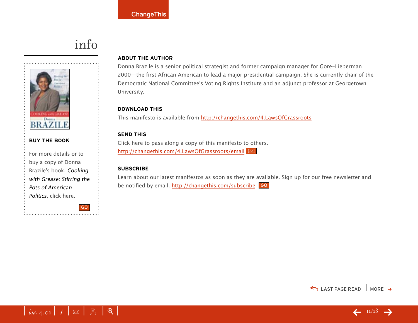## info



#### **BUY THE BOOK**

For more details or to buy a copy of Donna Brazile's book, Cooking with Grease: Stirring the Pots of American Politics, click here.

GO

#### **ABOUT THE AUTHOR**

Donna Brazile is a senior political strategist and former campaign manager for Gore-Lieberman 2000—the first African American to lead a major presidential campaign. She is currently chair of the Democratic National Committee's Voting Rights Institute and an adjunct professor at Georgetown University.

#### **DOWNLOAD THIS**

This manifesto is available from <http://changethis.com/4.LawsOfGrassroots>

#### **SEND THIS**

Click here to pass along a copy of this manifesto to others. <http://changethis.com/4.LawsOfGrassroots/email>

#### **SUBSCRIBE**

Learn about our latest manifestos as soon as they are available. Sign up for our free newsletter and be notified by email. <u>http://changethis.com/subscribe</u> <mark>GO</mark>



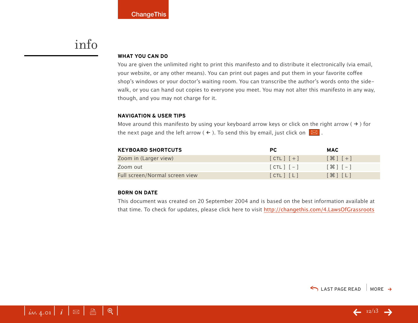### info

#### **WHAT YOU CAN DO**

You are given the unlimited right to print this manifesto and to distribute it electronically (via email, your website, or any other means). You can print out pages and put them in your favorite coffee shop's windows or your doctor's waiting room. You can transcribe the author's words onto the sidewalk, or you can hand out copies to everyone you meet. You may not alter this manifesto in any way, though, and you may not charge for it.

#### **NAVIGATION & USER TIPS**

Move around this manifesto by using your keyboard arrow keys or click on the right arrow ( $\rightarrow$ ) for the next page and the left arrow (  $\leftarrow$  ). To send this by email, just click on  $\boxed{\boxtimes}$  .

| <b>KEYBOARD SHORTCUTS</b>      | PC.           | <b>MAC</b>                                                    |
|--------------------------------|---------------|---------------------------------------------------------------|
| Zoom in (Larger view)          | $[CHL]$ $[+]$ | $[$ $\frac{1}{2}$ $[$ $\frac{1}{2}$ $]$ $[$ $\frac{1}{2}$ $]$ |
| Zoom out                       | $[CIL]$ $[-]$ | $[$ $\mathcal{H}$ $]$ $[-]$                                   |
| Full screen/Normal screen view | [CIL] [L]     | $[\mathcal{H}]$ $[L]$                                         |

#### **BORN ON DATE**

This document was created on 20 September 2004 and is based on the best information available at that time. To check for updates, please click here to visit <http://changethis.com/4.LawsOfGrassroots>